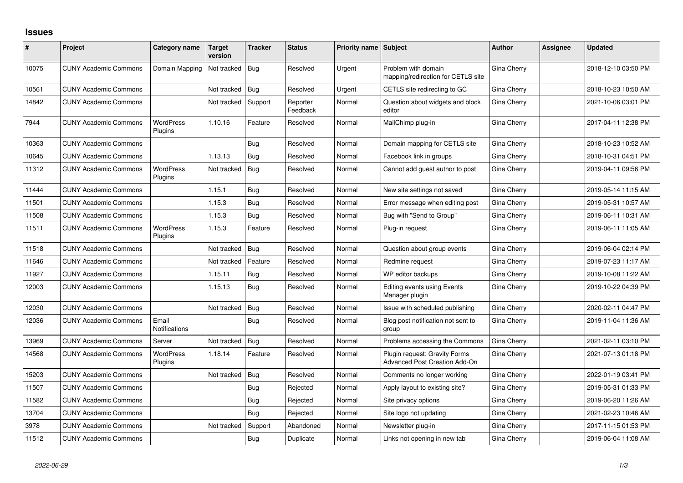## **Issues**

| #     | Project                      | Category name               | <b>Target</b><br>version | <b>Tracker</b> | <b>Status</b>        | Priority name Subject |                                                                | <b>Author</b> | Assignee | <b>Updated</b>      |
|-------|------------------------------|-----------------------------|--------------------------|----------------|----------------------|-----------------------|----------------------------------------------------------------|---------------|----------|---------------------|
| 10075 | <b>CUNY Academic Commons</b> | Domain Mapping              | Not tracked              | Bug            | Resolved             | Urgent                | Problem with domain<br>mapping/redirection for CETLS site      | Gina Cherry   |          | 2018-12-10 03:50 PM |
| 10561 | <b>CUNY Academic Commons</b> |                             | Not tracked              | Bug            | Resolved             | Urgent                | CETLS site redirecting to GC                                   | Gina Cherry   |          | 2018-10-23 10:50 AM |
| 14842 | <b>CUNY Academic Commons</b> |                             | Not tracked              | Support        | Reporter<br>Feedback | Normal                | Question about widgets and block<br>editor                     | Gina Cherry   |          | 2021-10-06 03:01 PM |
| 7944  | <b>CUNY Academic Commons</b> | <b>WordPress</b><br>Plugins | 1.10.16                  | Feature        | Resolved             | Normal                | MailChimp plug-in                                              | Gina Cherry   |          | 2017-04-11 12:38 PM |
| 10363 | <b>CUNY Academic Commons</b> |                             |                          | Bug            | Resolved             | Normal                | Domain mapping for CETLS site                                  | Gina Cherry   |          | 2018-10-23 10:52 AM |
| 10645 | <b>CUNY Academic Commons</b> |                             | 1.13.13                  | Bug            | Resolved             | Normal                | Facebook link in groups                                        | Gina Cherry   |          | 2018-10-31 04:51 PM |
| 11312 | <b>CUNY Academic Commons</b> | <b>WordPress</b><br>Plugins | Not tracked              | Bug            | Resolved             | Normal                | Cannot add guest author to post                                | Gina Cherry   |          | 2019-04-11 09:56 PM |
| 11444 | <b>CUNY Academic Commons</b> |                             | 1.15.1                   | Bug            | Resolved             | Normal                | New site settings not saved                                    | Gina Cherry   |          | 2019-05-14 11:15 AM |
| 11501 | <b>CUNY Academic Commons</b> |                             | 1.15.3                   | Bug            | Resolved             | Normal                | Error message when editing post                                | Gina Cherry   |          | 2019-05-31 10:57 AM |
| 11508 | <b>CUNY Academic Commons</b> |                             | 1.15.3                   | Bug            | Resolved             | Normal                | Bug with "Send to Group"                                       | Gina Cherry   |          | 2019-06-11 10:31 AM |
| 11511 | <b>CUNY Academic Commons</b> | <b>WordPress</b><br>Plugins | 1.15.3                   | Feature        | Resolved             | Normal                | Plug-in request                                                | Gina Cherry   |          | 2019-06-11 11:05 AM |
| 11518 | <b>CUNY Academic Commons</b> |                             | Not tracked              | Bug            | Resolved             | Normal                | Question about group events                                    | Gina Cherry   |          | 2019-06-04 02:14 PM |
| 11646 | <b>CUNY Academic Commons</b> |                             | Not tracked              | Feature        | Resolved             | Normal                | Redmine request                                                | Gina Cherry   |          | 2019-07-23 11:17 AM |
| 11927 | <b>CUNY Academic Commons</b> |                             | 1.15.11                  | Bug            | Resolved             | Normal                | WP editor backups                                              | Gina Cherry   |          | 2019-10-08 11:22 AM |
| 12003 | <b>CUNY Academic Commons</b> |                             | 1.15.13                  | Bug            | Resolved             | Normal                | <b>Editing events using Events</b><br>Manager plugin           | Gina Cherry   |          | 2019-10-22 04:39 PM |
| 12030 | <b>CUNY Academic Commons</b> |                             | Not tracked              | Bug            | Resolved             | Normal                | Issue with scheduled publishing                                | Gina Cherry   |          | 2020-02-11 04:47 PM |
| 12036 | <b>CUNY Academic Commons</b> | Email<br>Notifications      |                          | Bug            | Resolved             | Normal                | Blog post notification not sent to<br>group                    | Gina Cherry   |          | 2019-11-04 11:36 AM |
| 13969 | <b>CUNY Academic Commons</b> | Server                      | Not tracked              | Bug            | Resolved             | Normal                | Problems accessing the Commons                                 | Gina Cherry   |          | 2021-02-11 03:10 PM |
| 14568 | <b>CUNY Academic Commons</b> | <b>WordPress</b><br>Plugins | 1.18.14                  | Feature        | Resolved             | Normal                | Plugin request: Gravity Forms<br>Advanced Post Creation Add-On | Gina Cherry   |          | 2021-07-13 01:18 PM |
| 15203 | <b>CUNY Academic Commons</b> |                             | Not tracked              | Bug            | Resolved             | Normal                | Comments no longer working                                     | Gina Cherry   |          | 2022-01-19 03:41 PM |
| 11507 | <b>CUNY Academic Commons</b> |                             |                          | Bug            | Rejected             | Normal                | Apply layout to existing site?                                 | Gina Cherry   |          | 2019-05-31 01:33 PM |
| 11582 | <b>CUNY Academic Commons</b> |                             |                          | Bug            | Rejected             | Normal                | Site privacy options                                           | Gina Cherry   |          | 2019-06-20 11:26 AM |
| 13704 | <b>CUNY Academic Commons</b> |                             |                          | Bug            | Rejected             | Normal                | Site logo not updating                                         | Gina Cherry   |          | 2021-02-23 10:46 AM |
| 3978  | <b>CUNY Academic Commons</b> |                             | Not tracked              | Support        | Abandoned            | Normal                | Newsletter plug-in                                             | Gina Cherry   |          | 2017-11-15 01:53 PM |
| 11512 | <b>CUNY Academic Commons</b> |                             |                          | Bug            | Duplicate            | Normal                | Links not opening in new tab                                   | Gina Cherry   |          | 2019-06-04 11:08 AM |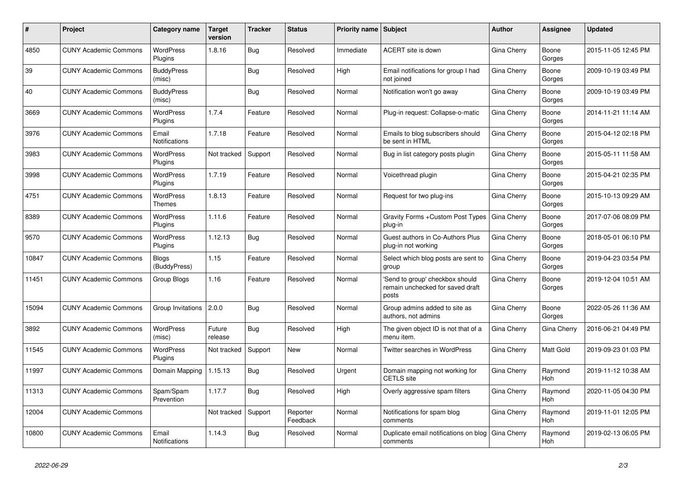| ∦     | Project                      | <b>Category name</b>          | <b>Target</b><br>version | <b>Tracker</b> | <b>Status</b>        | <b>Priority name   Subject</b> |                                                                              | Author             | Assignee              | <b>Updated</b>      |
|-------|------------------------------|-------------------------------|--------------------------|----------------|----------------------|--------------------------------|------------------------------------------------------------------------------|--------------------|-----------------------|---------------------|
| 4850  | <b>CUNY Academic Commons</b> | <b>WordPress</b><br>Plugins   | 1.8.16                   | <b>Bug</b>     | Resolved             | Immediate                      | ACERT site is down                                                           | Gina Cherry        | Boone<br>Gorges       | 2015-11-05 12:45 PM |
| 39    | <b>CUNY Academic Commons</b> | <b>BuddyPress</b><br>(misc)   |                          | Bug            | Resolved             | High                           | Email notifications for group I had<br>not joined                            | Gina Cherry        | Boone<br>Gorges       | 2009-10-19 03:49 PM |
| 40    | <b>CUNY Academic Commons</b> | <b>BuddyPress</b><br>(misc)   |                          | <b>Bug</b>     | Resolved             | Normal                         | Notification won't go away                                                   | Gina Cherry        | Boone<br>Gorges       | 2009-10-19 03:49 PM |
| 3669  | <b>CUNY Academic Commons</b> | <b>WordPress</b><br>Plugins   | 1.7.4                    | Feature        | Resolved             | Normal                         | Plug-in request: Collapse-o-matic                                            | Gina Cherry        | Boone<br>Gorges       | 2014-11-21 11:14 AM |
| 3976  | <b>CUNY Academic Commons</b> | Email<br>Notifications        | 1.7.18                   | Feature        | Resolved             | Normal                         | Emails to blog subscribers should<br>be sent in HTML                         | Gina Cherry        | Boone<br>Gorges       | 2015-04-12 02:18 PM |
| 3983  | <b>CUNY Academic Commons</b> | <b>WordPress</b><br>Plugins   | Not tracked              | Support        | Resolved             | Normal                         | Bug in list category posts plugin                                            | Gina Cherry        | Boone<br>Gorges       | 2015-05-11 11:58 AM |
| 3998  | <b>CUNY Academic Commons</b> | WordPress<br>Plugins          | 1.7.19                   | Feature        | Resolved             | Normal                         | Voicethread plugin                                                           | Gina Cherry        | Boone<br>Gorges       | 2015-04-21 02:35 PM |
| 4751  | <b>CUNY Academic Commons</b> | <b>WordPress</b><br>Themes    | 1.8.13                   | Feature        | Resolved             | Normal                         | Request for two plug-ins                                                     | Gina Cherry        | Boone<br>Gorges       | 2015-10-13 09:29 AM |
| 8389  | <b>CUNY Academic Commons</b> | <b>WordPress</b><br>Plugins   | 1.11.6                   | Feature        | Resolved             | Normal                         | Gravity Forms + Custom Post Types<br>plug-in                                 | Gina Cherry        | Boone<br>Gorges       | 2017-07-06 08:09 PM |
| 9570  | <b>CUNY Academic Commons</b> | <b>WordPress</b><br>Plugins   | 1.12.13                  | Bug            | Resolved             | Normal                         | Guest authors in Co-Authors Plus<br>plug-in not working                      | Gina Cherry        | Boone<br>Gorges       | 2018-05-01 06:10 PM |
| 10847 | <b>CUNY Academic Commons</b> | <b>Blogs</b><br>(BuddyPress)  | 1.15                     | Feature        | Resolved             | Normal                         | Select which blog posts are sent to<br>group                                 | Gina Cherry        | Boone<br>Gorges       | 2019-04-23 03:54 PM |
| 11451 | <b>CUNY Academic Commons</b> | Group Blogs                   | 1.16                     | Feature        | Resolved             | Normal                         | 'Send to group' checkbox should<br>remain unchecked for saved draft<br>posts | Gina Cherry        | Boone<br>Gorges       | 2019-12-04 10:51 AM |
| 15094 | <b>CUNY Academic Commons</b> | Group Invitations             | 2.0.0                    | <b>Bug</b>     | Resolved             | Normal                         | Group admins added to site as<br>authors, not admins                         | Gina Cherry        | Boone<br>Gorges       | 2022-05-26 11:36 AM |
| 3892  | <b>CUNY Academic Commons</b> | <b>WordPress</b><br>(misc)    | Future<br>release        | Bug            | Resolved             | High                           | The given object ID is not that of a<br>menu item.                           | Gina Cherry        | Gina Cherry           | 2016-06-21 04:49 PM |
| 11545 | <b>CUNY Academic Commons</b> | <b>WordPress</b><br>Plugins   | Not tracked              | Support        | New                  | Normal                         | <b>Twitter searches in WordPress</b>                                         | Gina Cherry        | Matt Gold             | 2019-09-23 01:03 PM |
| 11997 | <b>CUNY Academic Commons</b> | Domain Mapping                | 1.15.13                  | Bug            | Resolved             | Urgent                         | Domain mapping not working for<br><b>CETLS</b> site                          | Gina Cherry        | Raymond<br><b>Hoh</b> | 2019-11-12 10:38 AM |
| 11313 | <b>CUNY Academic Commons</b> | Spam/Spam<br>Prevention       | 1.17.7                   | Bug            | Resolved             | High                           | Overly aggressive spam filters                                               | Gina Cherry        | Raymond<br>Hoh        | 2020-11-05 04:30 PM |
| 12004 | <b>CUNY Academic Commons</b> |                               | Not tracked              | Support        | Reporter<br>Feedback | Normal                         | Notifications for spam blog<br>comments                                      | Gina Cherry        | Raymond<br>Hoh        | 2019-11-01 12:05 PM |
| 10800 | <b>CUNY Academic Commons</b> | Email<br><b>Notifications</b> | 1.14.3                   | <b>Bug</b>     | Resolved             | Normal                         | Duplicate email notifications on blog<br>comments                            | <b>Gina Cherry</b> | Raymond<br>Hoh        | 2019-02-13 06:05 PM |